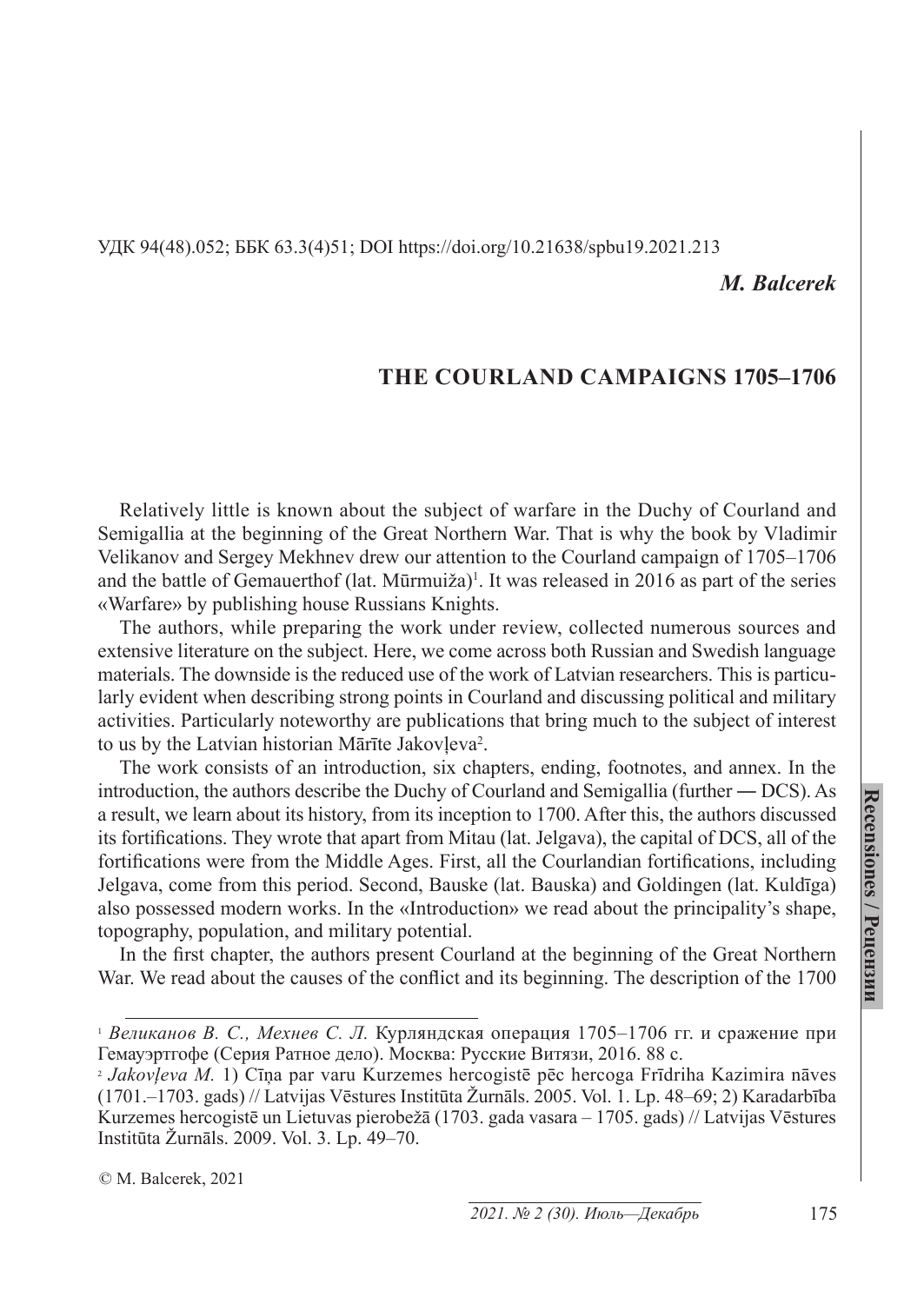УДК 94(48).052; ББК 63.3(4)51; DOI https://doi.org/10.21638/spbu19.2021.213

*M. Balcerek*

# **THE COURLAND CAMPAIGNS 1705–1706**

Relatively little is known about the subject of warfare in the Duchy of Courland and Semigallia at the beginning of the Great Northern War. That is why the book by Vladimir Velikanov and Sergey Mekhnev drew our attention to the Courland campaign of 1705–1706 and the battle of Gemauerthof (lat. Mūrmuiža)<sup>1</sup>. It was released in 2016 as part of the series «Warfare» by publishing house Russians Knights.

The authors, while preparing the work under review, collected numerous sources and extensive literature on the subject. Here, we come across both Russian and Swedish language materials. The downside is the reduced use of the work of Latvian researchers. This is particularly evident when describing strong points in Courland and discussing political and military activities. Particularly noteworthy are publications that bring much to the subject of interest to us by the Latvian historian Mārīte Jakovļeva<sup>2</sup>.

The work consists of an introduction, six chapters, ending, footnotes, and annex. In the introduction, the authors describe the Duchy of Courland and Semigallia (further ― DCS). As a result, we learn about its history, from its inception to 1700. After this, the authors discussed its fortifications. They wrote that apart from Mitau (lat. Jelgava), the capital of DCS, all of the fortifications were from the Middle Ages. First, all the Courlandian fortifications, including Jelgava, come from this period. Second, Bauske (lat. Bauska) and Goldingen (lat. Kuldīga) also possessed modern works. In the «Introduction» we read about the principality's shape, topography, population, and military potential.

In the first chapter, the authors present Courland at the beginning of the Great Northern War. We read about the causes of the conflict and its beginning. The description of the 1700

<sup>1</sup>  *Великанов В. C., Мехнев С. Л.* Курляндская операция 1705–1706 гг. и сражение при Гемауэртгофе (Серия Ратное дело). Москва: Русские Витязи, 2016. 88 c.

<sup>2</sup>  *Jakovļeva M.* 1) Cīņa par varu Kurzemes hercogistē pēc hercoga Frīdriha Kazimira nāves (1701.–1703. gads) // Latvijas Vēstures Institūta Žurnāls. 2005. Vol. 1. Lp. 48–69; 2) Karadarbība Kurzemes hercogistē un Lietuvas pierobežā (1703. gada vasara – 1705. gads) // Latvijas Vēstures Institūta Žurnāls. 2009. Vol. 3. Lp. 49–70.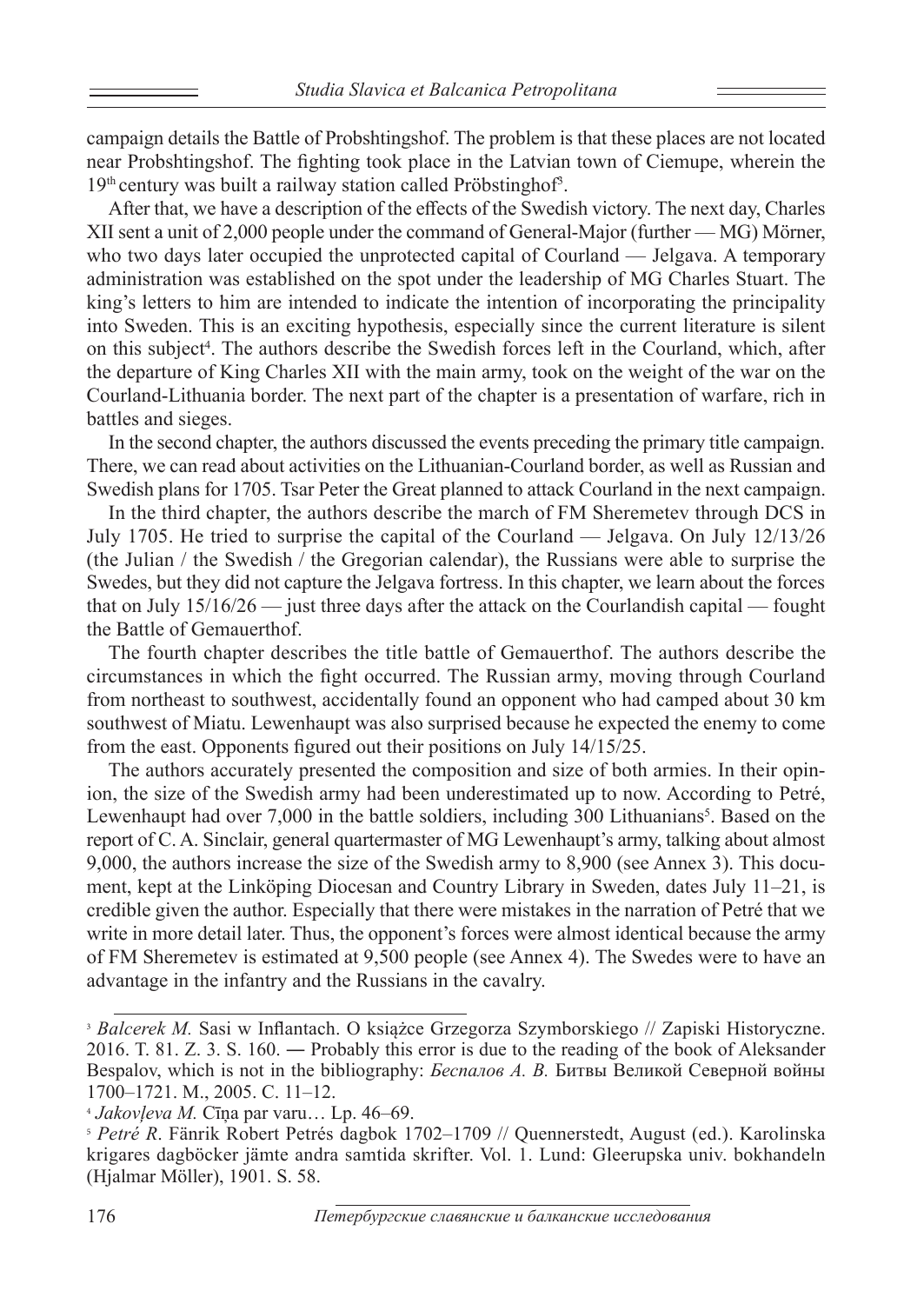campaign details the Battle of Probshtingshof. The problem is that these places are not located near Probshtingshof. The fighting took place in the Latvian town of Ciemupe, wherein the 19th century was built a railway station called Pröbstinghof3 .

After that, we have a description of the effects of the Swedish victory. The next day, Charles XII sent a unit of 2,000 people under the command of General-Major (further — MG) Mörner, who two days later occupied the unprotected capital of Courland — Jelgava. A temporary administration was established on the spot under the leadership of MG Charles Stuart. The king's letters to him are intended to indicate the intention of incorporating the principality into Sweden. This is an exciting hypothesis, especially since the current literature is silent on this subject<sup>4</sup>. The authors describe the Swedish forces left in the Courland, which, after the departure of King Charles XII with the main army, took on the weight of the war on the Courland-Lithuania border. The next part of the chapter is a presentation of warfare, rich in battles and sieges.

In the second chapter, the authors discussed the events preceding the primary title campaign. There, we can read about activities on the Lithuanian-Courland border, as well as Russian and Swedish plans for 1705. Tsar Peter the Great planned to attack Courland in the next campaign.

In the third chapter, the authors describe the march of FM Sheremetev through DCS in July 1705. He tried to surprise the capital of the Courland — Jelgava. On July 12/13/26 (the Julian / the Swedish / the Gregorian calendar), the Russians were able to surprise the Swedes, but they did not capture the Jelgava fortress. In this chapter, we learn about the forces that on July 15/16/26 — just three days after the attack on the Courlandish capital — fought the Battle of Gemauerthof.

The fourth chapter describes the title battle of Gemauerthof. The authors describe the circumstances in which the fight occurred. The Russian army, moving through Courland from northeast to southwest, accidentally found an opponent who had camped about 30 km southwest of Miatu. Lewenhaupt was also surprised because he expected the enemy to come from the east. Opponents figured out their positions on July 14/15/25.

The authors accurately presented the composition and size of both armies. In their opinion, the size of the Swedish army had been underestimated up to now. According to Petré, Lewenhaupt had over 7,000 in the battle soldiers, including 300 Lithuanians<sup>5</sup>. Based on the report of C. A. Sinclair, general quartermaster of MG Lewenhaupt's army, talking about almost 9,000, the authors increase the size of the Swedish army to 8,900 (see Annex 3). This document, kept at the Linköping Diocesan and Country Library in Sweden, dates July 11–21, is credible given the author. Especially that there were mistakes in the narration of Petré that we write in more detail later. Thus, the opponent's forces were almost identical because the army of FM Sheremetev is estimated at 9,500 people (see Annex 4). The Swedes were to have an advantage in the infantry and the Russians in the cavalry.

<sup>3</sup>  *Balcerek M.* Sasi w Inflantach. O książce Grzegorza Szymborskiego // Zapiski Historyczne. 2016. T. 81. Z. 3. S. 160. ― Probably this error is due to the reading of the book of Aleksander Bespalov, which is not in the bibliography: *Беспалов А. В.* Битвы Великой Северной войны 1700–1721. М., 2005. С. 11–12.

<sup>4</sup>  *Jakovļeva M.* Cīņa par varu… Lp. 46–69.

<sup>5</sup> *Petré R*. Fänrik Robert Petrés dagbok 1702–1709 // Quennerstedt, August (ed.). Karolinska krigares dagböcker jämte andra samtida skrifter. Vol. 1. Lund: Gleerupska univ. bokhandeln (Hjalmar Möller), 1901. S. 58.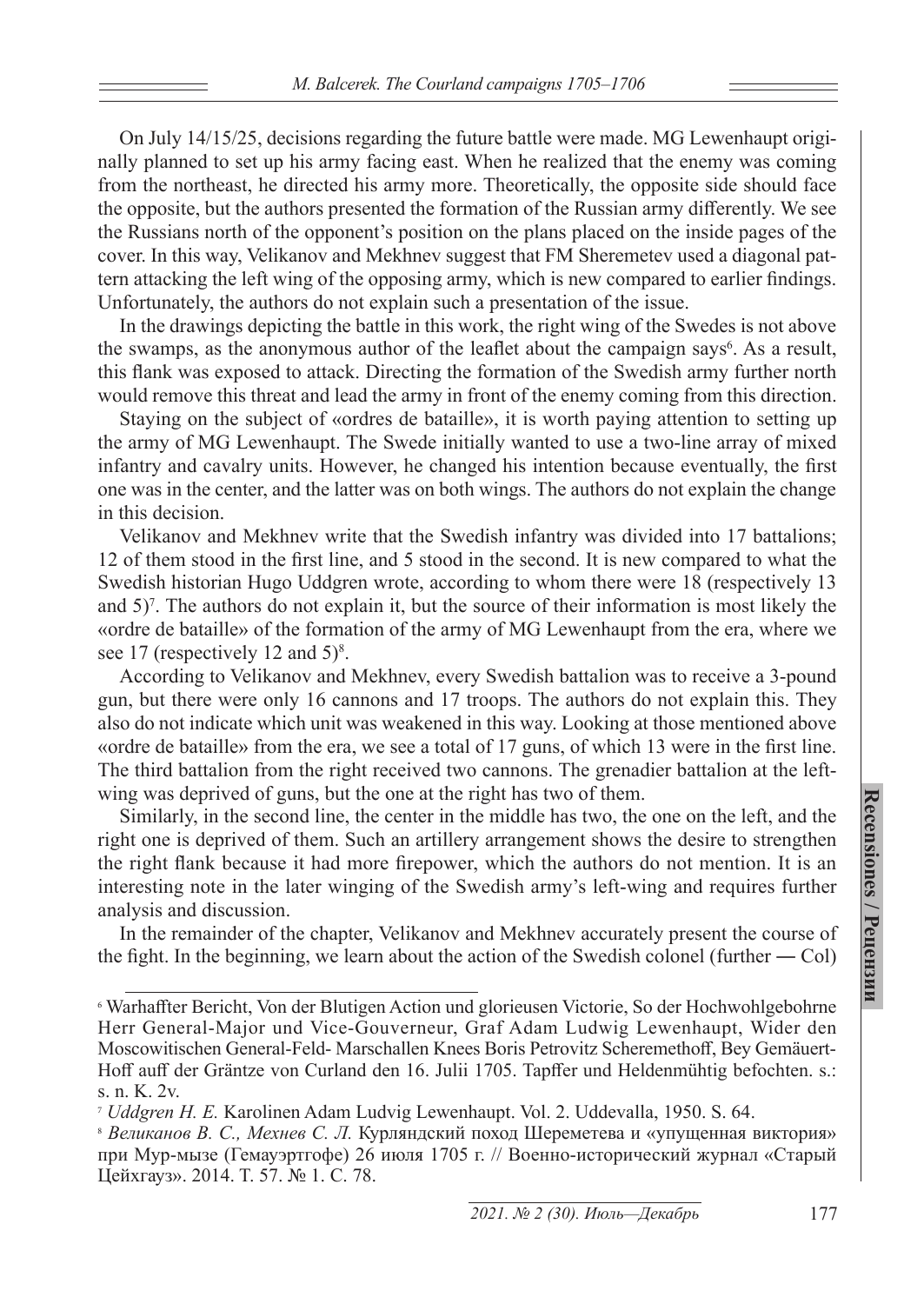On July 14/15/25, decisions regarding the future battle were made. MG Lewenhaupt originally planned to set up his army facing east. When he realized that the enemy was coming from the northeast, he directed his army more. Theoretically, the opposite side should face the opposite, but the authors presented the formation of the Russian army differently. We see the Russians north of the opponent's position on the plans placed on the inside pages of the cover. In this way, Velikanov and Mekhnev suggest that FM Sheremetev used a diagonal pattern attacking the left wing of the opposing army, which is new compared to earlier findings. Unfortunately, the authors do not explain such a presentation of the issue.

In the drawings depicting the battle in this work, the right wing of the Swedes is not above the swamps, as the anonymous author of the leaflet about the campaign says<sup>6</sup>. As a result, this flank was exposed to attack. Directing the formation of the Swedish army further north would remove this threat and lead the army in front of the enemy coming from this direction.

Staying on the subject of «ordres de bataille», it is worth paying attention to setting up the army of MG Lewenhaupt. The Swede initially wanted to use a two-line array of mixed infantry and cavalry units. However, he changed his intention because eventually, the first one was in the center, and the latter was on both wings. The authors do not explain the change in this decision.

Velikanov and Mekhnev write that the Swedish infantry was divided into 17 battalions; 12 of them stood in the first line, and 5 stood in the second. It is new compared to what the Swedish historian Hugo Uddgren wrote, according to whom there were 18 (respectively 13 and 5)<sup>7</sup>. The authors do not explain it, but the source of their information is most likely the «ordre de bataille» of the formation of the army of MG Lewenhaupt from the era, where we see 17 (respectively 12 and 5)<sup>8</sup>.

According to Velikanov and Mekhnev, every Swedish battalion was to receive a 3-pound gun, but there were only 16 cannons and 17 troops. The authors do not explain this. They also do not indicate which unit was weakened in this way. Looking at those mentioned above «ordre de bataille» from the era, we see a total of 17 guns, of which 13 were in the first line. The third battalion from the right received two cannons. The grenadier battalion at the leftwing was deprived of guns, but the one at the right has two of them.

Similarly, in the second line, the center in the middle has two, the one on the left, and the right one is deprived of them. Such an artillery arrangement shows the desire to strengthen the right flank because it had more firepower, which the authors do not mention. It is an interesting note in the later winging of the Swedish army's left-wing and requires further analysis and discussion.

In the remainder of the chapter, Velikanov and Mekhnev accurately present the course of the fight. In the beginning, we learn about the action of the Swedish colonel (further ― Col)

<sup>6</sup> Warhaffter Bericht, Von der Blutigen Action und glorieusen Victorie, So der Hochwohlgebohrne Herr General-Major und Vice-Gouverneur, Graf Adam Ludwig Lewenhaupt, Wider den Moscowitischen General-Feld- Marschallen Knees Boris Petrovitz Scheremethoff, Bey Gemäuert-Hoff auff der Gräntze von Curland den 16. Julii 1705. Tapffer und Heldenmühtig befochten. s.: s. n. K. 2v.

<sup>7</sup>  *Uddgren H. E.* Karolinen Adam Ludvig Lewenhaupt. Vol. 2. Uddevalla, 1950. S. 64.

<sup>8</sup>  *Великанов В. C., Мехнев C. Л.* Курляндский поход Шереметева и «упущенная виктория» при Мур-мызе (Гемауэртгофе) 26 июля 1705 г. // Военно-исторический журнал «Старый Цейхгауз». 2014. T. 57. № 1. C. 78.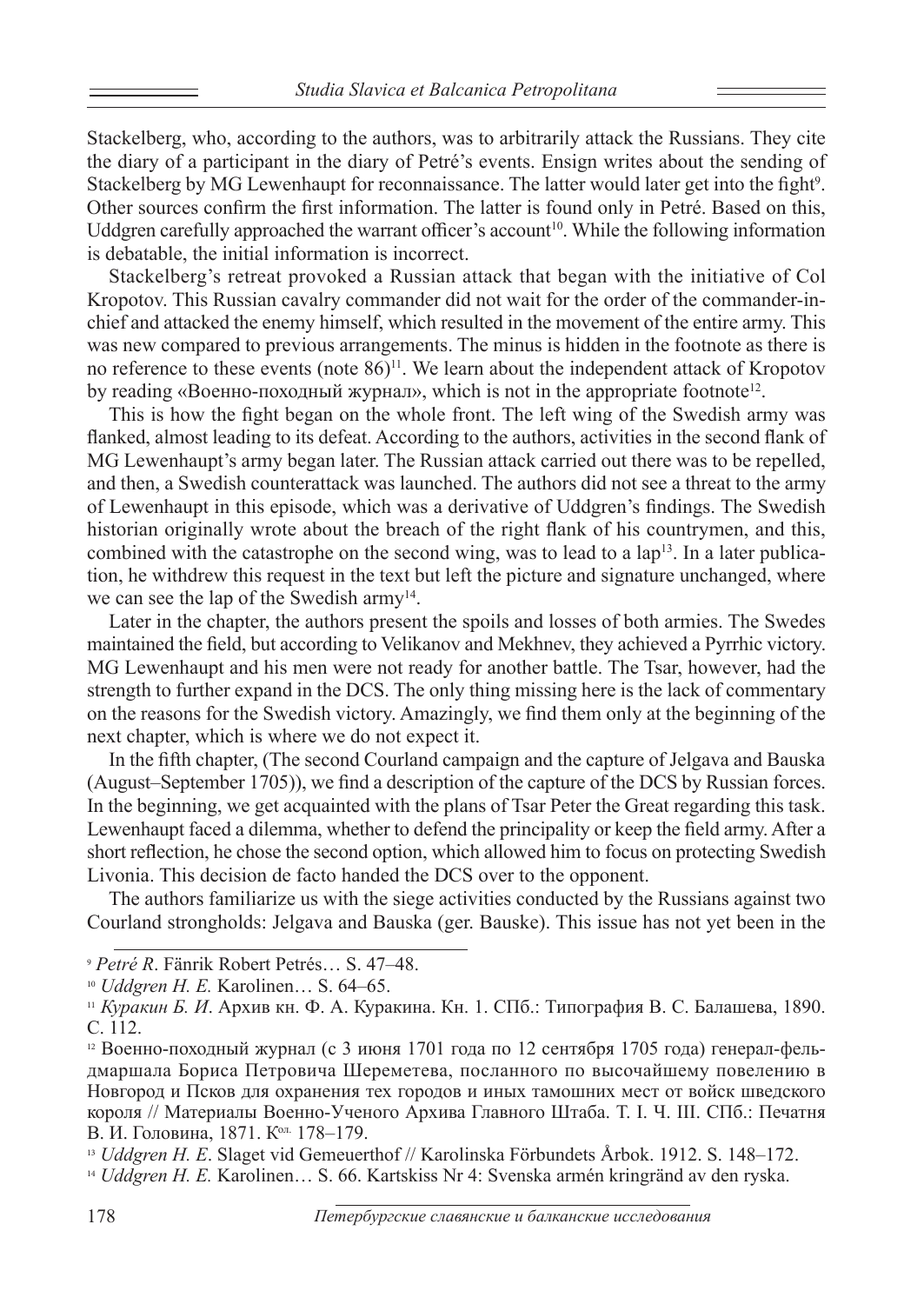Stackelberg, who, according to the authors, was to arbitrarily attack the Russians. They cite the diary of a participant in the diary of Petré's events. Ensign writes about the sending of Stackelberg by MG Lewenhaupt for reconnaissance. The latter would later get into the fight<sup>9</sup>. Other sources confirm the first information. The latter is found only in Petré. Based on this, Uddgren carefully approached the warrant officer's account<sup>10</sup>. While the following information is debatable, the initial information is incorrect.

Stackelberg's retreat provoked a Russian attack that began with the initiative of Col Kropotov. This Russian cavalry commander did not wait for the order of the commander-inchief and attacked the enemy himself, which resulted in the movement of the entire army. This was new compared to previous arrangements. The minus is hidden in the footnote as there is no reference to these events (note  $86$ )<sup> $11$ </sup>. We learn about the independent attack of Kropotov by reading «Военно-походный журнал», which is not in the appropriate footnote<sup>12</sup>.

This is how the fight began on the whole front. The left wing of the Swedish army was flanked, almost leading to its defeat. According to the authors, activities in the second flank of MG Lewenhaupt's army began later. The Russian attack carried out there was to be repelled, and then, a Swedish counterattack was launched. The authors did not see a threat to the army of Lewenhaupt in this episode, which was a derivative of Uddgren's findings. The Swedish historian originally wrote about the breach of the right flank of his countrymen, and this, combined with the catastrophe on the second wing, was to lead to a  $\text{lap}^{13}$ . In a later publication, he withdrew this request in the text but left the picture and signature unchanged, where we can see the lap of the Swedish army<sup>14</sup>.

Later in the chapter, the authors present the spoils and losses of both armies. The Swedes maintained the field, but according to Velikanov and Mekhnev, they achieved a Pyrrhic victory. MG Lewenhaupt and his men were not ready for another battle. The Tsar, however, had the strength to further expand in the DCS. The only thing missing here is the lack of commentary on the reasons for the Swedish victory. Amazingly, we find them only at the beginning of the next chapter, which is where we do not expect it.

In the fifth chapter, (The second Courland campaign and the capture of Jelgava and Bauska (August–September 1705)), we find a description of the capture of the DCS by Russian forces. In the beginning, we get acquainted with the plans of Tsar Peter the Great regarding this task. Lewenhaupt faced a dilemma, whether to defend the principality or keep the field army. After a short reflection, he chose the second option, which allowed him to focus on protecting Swedish Livonia. This decision de facto handed the DCS over to the opponent.

The authors familiarize us with the siege activities conducted by the Russians against two Courland strongholds: Jelgava and Bauska (ger. Bauske). This issue has not yet been in the

<sup>9</sup>  *Petré R*. Fänrik Robert Petrés… S. 47–48.

<sup>10</sup> *Uddgren H. E.* Karolinen… S. 64–65.

<sup>11</sup> *Куракин Б. И*. Архив кн. Ф. А. Куракина. Кн. 1. СПб.: Типография В. С. Балашева, 1890. C. 112.

 $12$  Военно-походный журнал (с 3 июня 1701 года по 12 сентября 1705 года) генерал-фельдмаршала Бориса Петровича Шереметева, посланного по высочайшему повелению в Новгород и Псков для охранения тех городов и иных тамошних мест от войск шведского короля // Материалы Военно-Ученого Архива Главного Штаба. Т. I. Ч. III. СПб.: Печатня В. И. Головина, 1871. Кол. 178–179.

<sup>13</sup> *Uddgren H. E*. Slaget vid Gemeuerthof // Karolinska Förbundets Årbok. 1912. S. 148–172.

<sup>14</sup> *Uddgren H. E.* Karolinen… S. 66. Kartskiss Nr 4: Svenska armén kringränd av den ryska.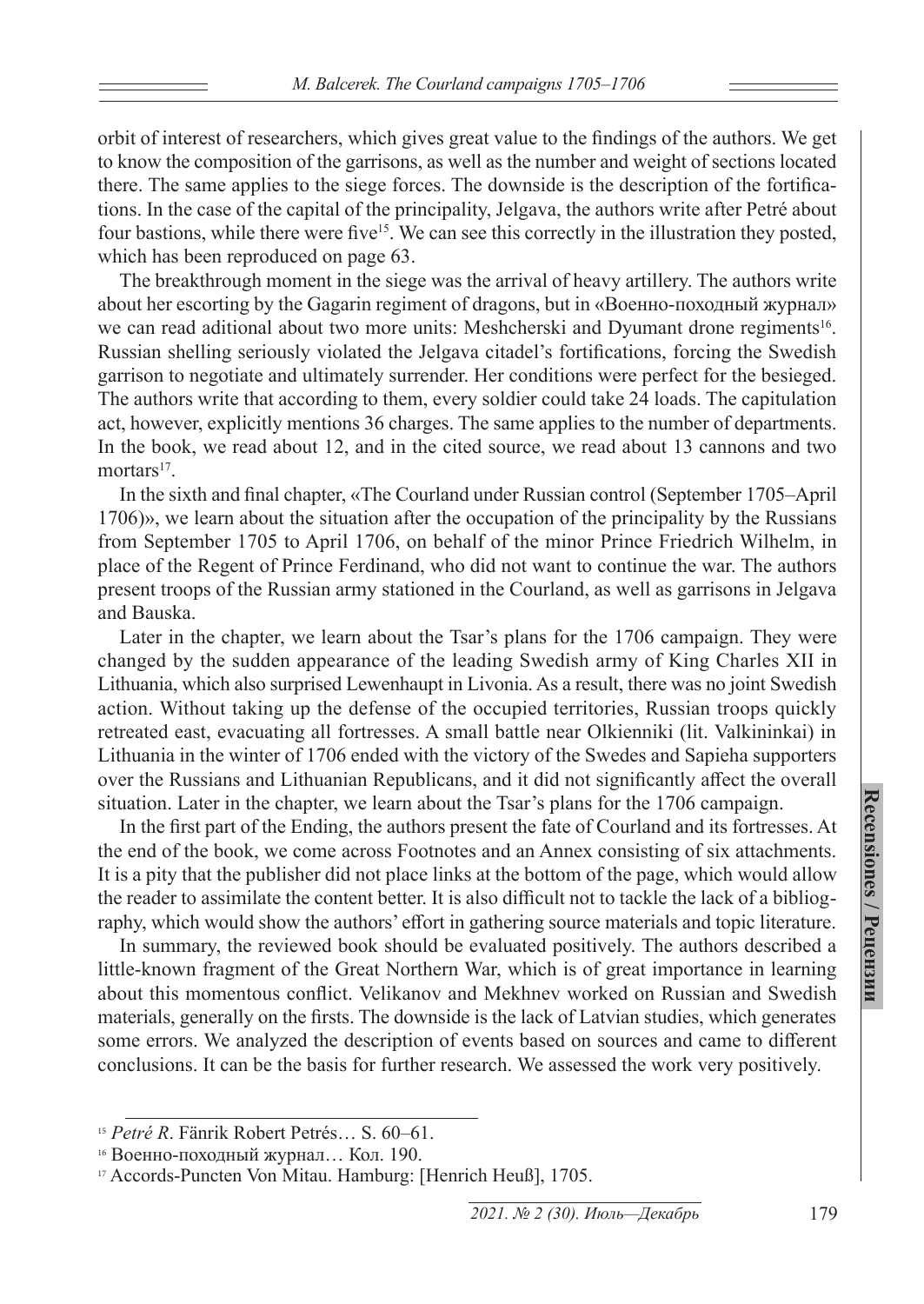orbit of interest of researchers, which gives great value to the findings of the authors. We get to know the composition of the garrisons, as well as the number and weight of sections located there. The same applies to the siege forces. The downside is the description of the fortifications. In the case of the capital of the principality, Jelgava, the authors write after Petré about four bastions, while there were five<sup>15</sup>. We can see this correctly in the illustration they posted, which has been reproduced on page 63.

The breakthrough moment in the siege was the arrival of heavy artillery. The authors write about her escorting by the Gagarin regiment of dragons, but in «Военно-походный журнал» we can read aditional about two more units: Meshcherski and Dyumant drone regiments<sup>16</sup>. Russian shelling seriously violated the Jelgava citadel's fortifications, forcing the Swedish garrison to negotiate and ultimately surrender. Her conditions were perfect for the besieged. The authors write that according to them, every soldier could take 24 loads. The capitulation act, however, explicitly mentions 36 charges. The same applies to the number of departments. In the book, we read about 12, and in the cited source, we read about 13 cannons and two mortars $17$ .

In the sixth and final chapter, «The Courland under Russian control (September 1705–April 1706)», we learn about the situation after the occupation of the principality by the Russians from September 1705 to April 1706, on behalf of the minor Prince Friedrich Wilhelm, in place of the Regent of Prince Ferdinand, who did not want to continue the war. The authors present troops of the Russian army stationed in the Courland, as well as garrisons in Jelgava and Bauska.

Later in the chapter, we learn about the Tsar's plans for the 1706 campaign. They were changed by the sudden appearance of the leading Swedish army of King Charles XII in Lithuania, which also surprised Lewenhaupt in Livonia. As a result, there was no joint Swedish action. Without taking up the defense of the occupied territories, Russian troops quickly retreated east, evacuating all fortresses. A small battle near Olkienniki (lit. Valkininkai) in Lithuania in the winter of 1706 ended with the victory of the Swedes and Sapieha supporters over the Russians and Lithuanian Republicans, and it did not significantly affect the overall situation. Later in the chapter, we learn about the Tsar's plans for the 1706 campaign.

In the first part of the Ending, the authors present the fate of Courland and its fortresses. At the end of the book, we come across Footnotes and an Annex consisting of six attachments. It is a pity that the publisher did not place links at the bottom of the page, which would allow the reader to assimilate the content better. It is also difficult not to tackle the lack of a bibliography, which would show the authors' effort in gathering source materials and topic literature.

In summary, the reviewed book should be evaluated positively. The authors described a little-known fragment of the Great Northern War, which is of great importance in learning about this momentous conflict. Velikanov and Mekhnev worked on Russian and Swedish materials, generally on the firsts. The downside is the lack of Latvian studies, which generates some errors. We analyzed the description of events based on sources and came to different conclusions. It can be the basis for further research. We assessed the work very positively.

<sup>&</sup>lt;sup>15</sup> Petré R. Fänrik Robert Petrés... S. 60–61.

<sup>16</sup> Военно-походный журнал… Кол. 190.

<sup>&</sup>lt;sup>17</sup> Accords-Puncten Von Mitau. Hamburg: [Henrich Heuß], 1705.